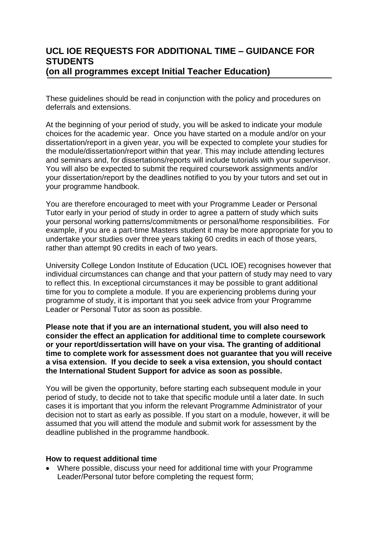# **UCL IOE REQUESTS FOR ADDITIONAL TIME – GUIDANCE FOR STUDENTS (on all programmes except Initial Teacher Education)**

These guidelines should be read in conjunction with the policy and procedures on deferrals and extensions.

At the beginning of your period of study, you will be asked to indicate your module choices for the academic year. Once you have started on a module and/or on your dissertation/report in a given year, you will be expected to complete your studies for the module/dissertation/report within that year. This may include attending lectures and seminars and, for dissertations/reports will include tutorials with your supervisor. You will also be expected to submit the required coursework assignments and/or your dissertation/report by the deadlines notified to you by your tutors and set out in your programme handbook.

You are therefore encouraged to meet with your Programme Leader or Personal Tutor early in your period of study in order to agree a pattern of study which suits your personal working patterns/commitments or personal/home responsibilities. For example, if you are a part-time Masters student it may be more appropriate for you to undertake your studies over three years taking 60 credits in each of those years, rather than attempt 90 credits in each of two years.

University College London Institute of Education (UCL IOE) recognises however that individual circumstances can change and that your pattern of study may need to vary to reflect this. In exceptional circumstances it may be possible to grant additional time for you to complete a module. If you are experiencing problems during your programme of study, it is important that you seek advice from your Programme Leader or Personal Tutor as soon as possible.

**Please note that if you are an international student, you will also need to consider the effect an application for additional time to complete coursework or your report/dissertation will have on your visa. The granting of additional time to complete work for assessment does not guarantee that you will receive a visa extension. If you decide to seek a visa extension, you should contact the International Student Support for advice as soon as possible.**

You will be given the opportunity, before starting each subsequent module in your period of study, to decide not to take that specific module until a later date. In such cases it is important that you inform the relevant Programme Administrator of your decision not to start as early as possible. If you start on a module, however, it will be assumed that you will attend the module and submit work for assessment by the deadline published in the programme handbook.

#### **How to request additional time**

 Where possible, discuss your need for additional time with your Programme Leader/Personal tutor before completing the request form;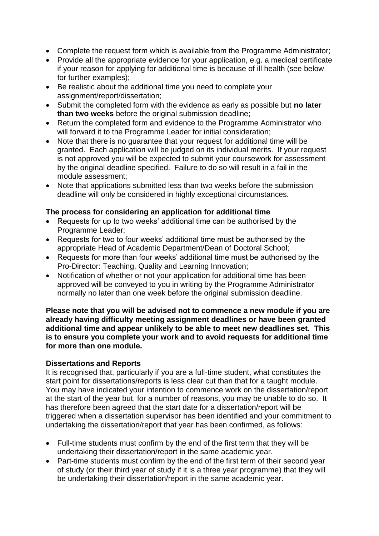- Complete the request form which is available from the Programme Administrator;
- Provide all the appropriate evidence for your application, e.g. a medical certificate if your reason for applying for additional time is because of ill health (see below for further examples);
- Be realistic about the additional time you need to complete your assignment/report/dissertation;
- Submit the completed form with the evidence as early as possible but **no later than two weeks** before the original submission deadline;
- Return the completed form and evidence to the Programme Administrator who will forward it to the Programme Leader for initial consideration;
- Note that there is no quarantee that your request for additional time will be granted. Each application will be judged on its individual merits. If your request is not approved you will be expected to submit your coursework for assessment by the original deadline specified. Failure to do so will result in a fail in the module assessment;
- Note that applications submitted less than two weeks before the submission deadline will only be considered in highly exceptional circumstances.

## **The process for considering an application for additional time**

- Requests for up to two weeks' additional time can be authorised by the Programme Leader;
- Requests for two to four weeks' additional time must be authorised by the appropriate Head of Academic Department/Dean of Doctoral School;
- Requests for more than four weeks' additional time must be authorised by the Pro-Director: Teaching, Quality and Learning Innovation;
- Notification of whether or not your application for additional time has been approved will be conveyed to you in writing by the Programme Administrator normally no later than one week before the original submission deadline.

**Please note that you will be advised not to commence a new module if you are already having difficulty meeting assignment deadlines or have been granted additional time and appear unlikely to be able to meet new deadlines set. This is to ensure you complete your work and to avoid requests for additional time for more than one module.**

### **Dissertations and Reports**

It is recognised that, particularly if you are a full-time student, what constitutes the start point for dissertations/reports is less clear cut than that for a taught module. You may have indicated your intention to commence work on the dissertation/report at the start of the year but, for a number of reasons, you may be unable to do so. It has therefore been agreed that the start date for a dissertation/report will be triggered when a dissertation supervisor has been identified and your commitment to undertaking the dissertation/report that year has been confirmed, as follows:

- Full-time students must confirm by the end of the first term that they will be undertaking their dissertation/report in the same academic year.
- Part-time students must confirm by the end of the first term of their second year of study (or their third year of study if it is a three year programme) that they will be undertaking their dissertation/report in the same academic year.